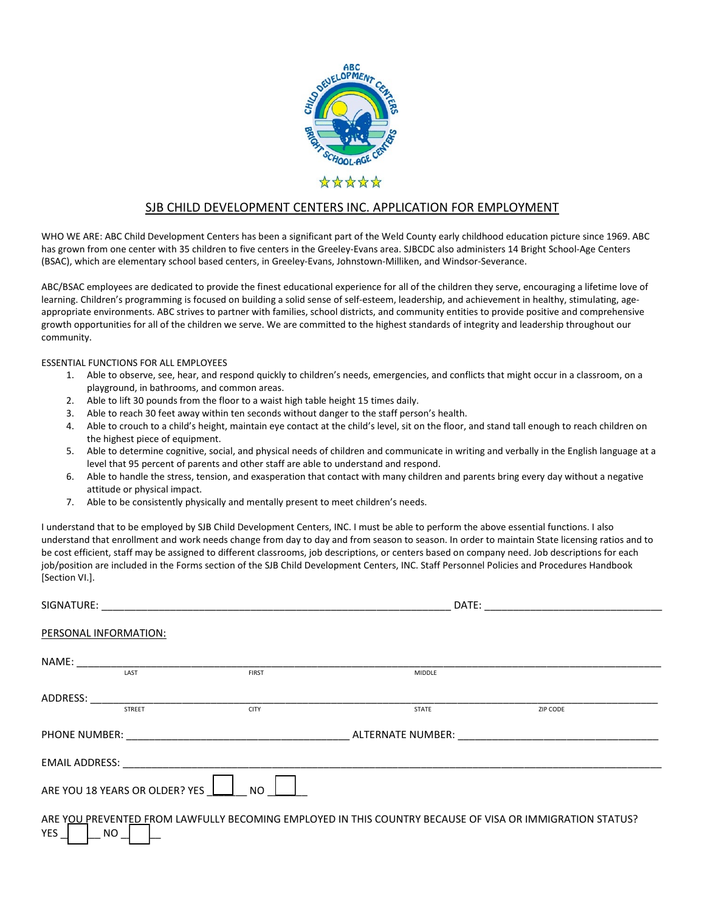

# SJB CHILD DEVELOPMENT CENTERS INC. APPLICATION FOR EMPLOYMENT

WHO WE ARE: ABC Child Development Centers has been a significant part of the Weld County early childhood education picture since 1969. ABC has grown from one center with 35 children to five centers in the Greeley-Evans area. SJBCDC also administers 14 Bright School-Age Centers (BSAC), which are elementary school based centers, in Greeley-Evans, Johnstown-Milliken, and Windsor-Severance.

ABC/BSAC employees are dedicated to provide the finest educational experience for all of the children they serve, encouraging a lifetime love of learning. Children's programming is focused on building a solid sense of self-esteem, leadership, and achievement in healthy, stimulating, ageappropriate environments. ABC strives to partner with families, school districts, and community entities to provide positive and comprehensive growth opportunities for all of the children we serve. We are committed to the highest standards of integrity and leadership throughout our community.

ESSENTIAL FUNCTIONS FOR ALL EMPLOYEES

- 1. Able to observe, see, hear, and respond quickly to children's needs, emergencies, and conflicts that might occur in a classroom, on a playground, in bathrooms, and common areas.
- 2. Able to lift 30 pounds from the floor to a waist high table height 15 times daily.
- 3. Able to reach 30 feet away within ten seconds without danger to the staff person's health.
- 4. Able to crouch to a child's height, maintain eye contact at the child's level, sit on the floor, and stand tall enough to reach children on the highest piece of equipment.
- 5. Able to determine cognitive, social, and physical needs of children and communicate in writing and verbally in the English language at a level that 95 percent of parents and other staff are able to understand and respond.
- 6. Able to handle the stress, tension, and exasperation that contact with many children and parents bring every day without a negative attitude or physical impact.
- 7. Able to be consistently physically and mentally present to meet children's needs.

I understand that to be employed by SJB Child Development Centers, INC. I must be able to perform the above essential functions. I also understand that enrollment and work needs change from day to day and from season to season. In order to maintain State licensing ratios and to be cost efficient, staff may be assigned to different classrooms, job descriptions, or centers based on company need. Job descriptions for each job/position are included in the Forms section of the SJB Child Development Centers, INC. Staff Personnel Policies and Procedures Handbook [Section VI.].

|            |                                |                                                                                                          | DATE:                    |          |  |  |
|------------|--------------------------------|----------------------------------------------------------------------------------------------------------|--------------------------|----------|--|--|
|            | PERSONAL INFORMATION:          |                                                                                                          |                          |          |  |  |
| NAME:      |                                |                                                                                                          |                          |          |  |  |
|            | LAST                           | <b>FIRST</b>                                                                                             | <b>MIDDLE</b>            |          |  |  |
| ADDRESS:   |                                |                                                                                                          |                          |          |  |  |
|            | <b>STREET</b>                  | <b>CITY</b>                                                                                              | <b>STATE</b>             | ZIP CODE |  |  |
|            |                                |                                                                                                          | ALTERNATE NUMBER: WARDER |          |  |  |
|            |                                |                                                                                                          |                          |          |  |  |
|            | ARE YOU 18 YEARS OR OLDER? YES | NO.                                                                                                      |                          |          |  |  |
| YES $\Box$ | $\lfloor$ NO $\rfloor$         | ARE YOU PREVENTED FROM LAWFULLY BECOMING EMPLOYED IN THIS COUNTRY BECAUSE OF VISA OR IMMIGRATION STATUS? |                          |          |  |  |